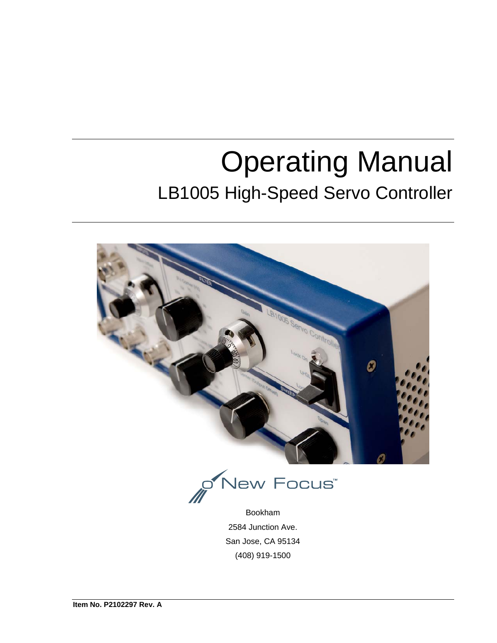# Operating Manual LB1005 High-Speed Servo Controller



Bookham 2584 Junction Ave. San Jose, CA 95134 (408) 919-1500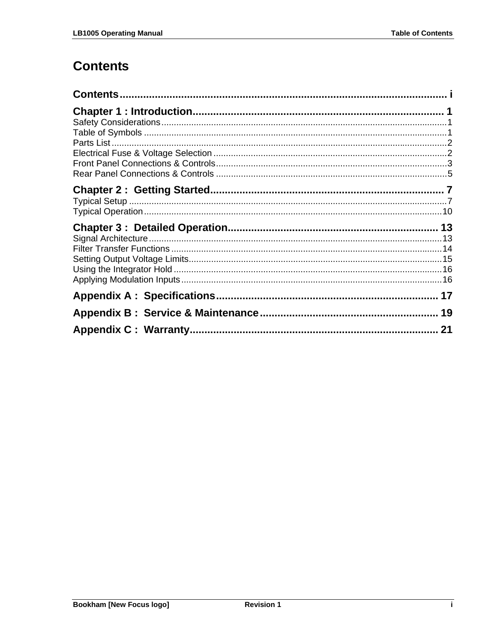# **Contents**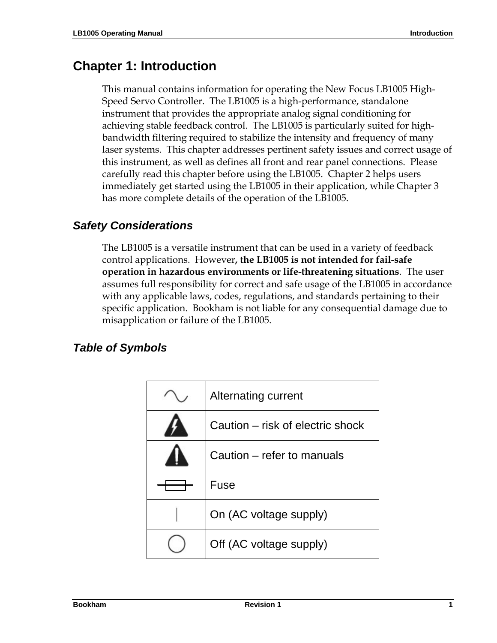# **Chapter 1: Introduction**

This manual contains information for operating the New Focus LB1005 High-Speed Servo Controller. The LB1005 is a high-performance, standalone instrument that provides the appropriate analog signal conditioning for achieving stable feedback control. The LB1005 is particularly suited for highbandwidth filtering required to stabilize the intensity and frequency of many laser systems. This chapter addresses pertinent safety issues and correct usage of this instrument, as well as defines all front and rear panel connections. Please carefully read this chapter before using the LB1005. Chapter 2 helps users immediately get started using the LB1005 in their application, while Chapter 3 has more complete details of the operation of the LB1005.

#### *Safety Considerations*

The LB1005 is a versatile instrument that can be used in a variety of feedback control applications. However**, the LB1005 is not intended for fail-safe operation in hazardous environments or life-threatening situations**. The user assumes full responsibility for correct and safe usage of the LB1005 in accordance with any applicable laws, codes, regulations, and standards pertaining to their specific application. Bookham is not liable for any consequential damage due to misapplication or failure of the LB1005.

#### *Table of Symbols*

| <b>Alternating current</b>       |
|----------------------------------|
| Caution – risk of electric shock |
| Caution – refer to manuals       |
| Fuse                             |
| On (AC voltage supply)           |
| Off (AC voltage supply)          |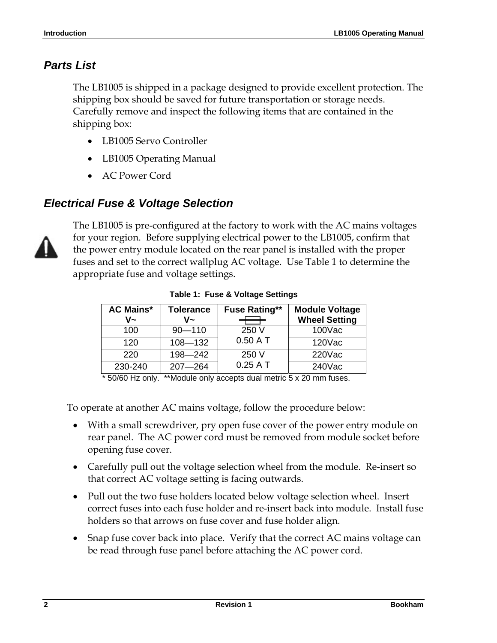#### *Parts List*

The LB1005 is shipped in a package designed to provide excellent protection. The shipping box should be saved for future transportation or storage needs. Carefully remove and inspect the following items that are contained in the shipping box:

- LB1005 Servo Controller
- LB1005 Operating Manual
- AC Power Cord

#### *Electrical Fuse & Voltage Selection*



The LB1005 is pre-configured at the factory to work with the AC mains voltages for your region. Before supplying electrical power to the LB1005, confirm that the power entry module located on the rear panel is installed with the proper fuses and set to the correct wallplug AC voltage. Use Table 1 to determine the appropriate fuse and voltage settings.

| <b>AC Mains*</b><br>V~ | <b>Tolerance</b><br>$V -$ | <b>Fuse Rating**</b> | <b>Module Voltage</b><br><b>Wheel Setting</b> |
|------------------------|---------------------------|----------------------|-----------------------------------------------|
| 100                    | $90 - 110$                | 250 V                | 100Vac                                        |
| 120                    | $108 - 132$               | $0.50A$ T            | 120Vac                                        |
| 220                    | $198 - 242$               | 250 V                | 220Vac                                        |
| 230-240                | $207 - 264$               | $0.25A$ T            | 240Vac                                        |

**Table 1: Fuse & Voltage Settings** 

\* 50/60 Hz only. \*\*Module only accepts dual metric 5 x 20 mm fuses.

To operate at another AC mains voltage, follow the procedure below:

- With a small screwdriver, pry open fuse cover of the power entry module on rear panel. The AC power cord must be removed from module socket before opening fuse cover.
- Carefully pull out the voltage selection wheel from the module. Re-insert so that correct AC voltage setting is facing outwards.
- Pull out the two fuse holders located below voltage selection wheel. Insert correct fuses into each fuse holder and re-insert back into module. Install fuse holders so that arrows on fuse cover and fuse holder align.
- Snap fuse cover back into place. Verify that the correct AC mains voltage can be read through fuse panel before attaching the AC power cord.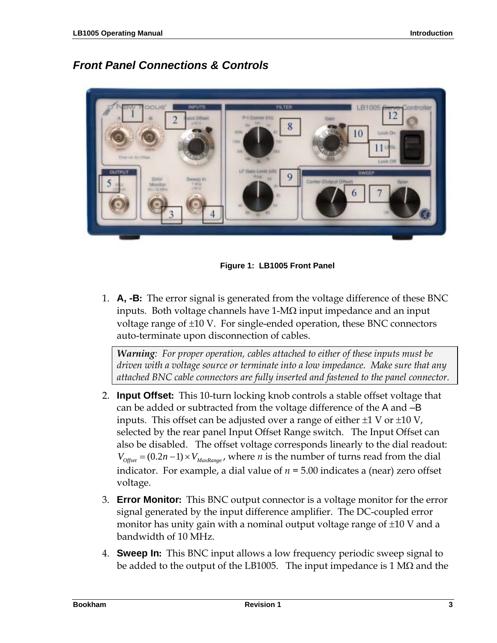#### *Front Panel Connections & Controls*



**Figure 1: LB1005 Front Panel** 

1. **A, -B:** The error signal is generated from the voltage difference of these BNC inputs. Both voltage channels have  $1-M\Omega$  input impedance and an input voltage range of ±10 V. For single-ended operation, these BNC connectors auto-terminate upon disconnection of cables.

*Warning: For proper operation, cables attached to either of these inputs must be driven with a voltage source or terminate into a low impedance. Make sure that any attached BNC cable connectors are fully inserted and fastened to the panel connector.*

- 2. **Input Offset:** This 10-turn locking knob controls a stable offset voltage that can be added or subtracted from the voltage difference of the A and –B inputs. This offset can be adjusted over a range of either  $\pm 1$  V or  $\pm 10$  V, selected by the rear panel Input Offset Range switch. The Input Offset can also be disabled. The offset voltage corresponds linearly to the dial readout:  $V_{\text{Offset}} = (0.2n - 1) \times V_{\text{MaxRange}}$ , where *n* is the number of turns read from the dial indicator. For example, a dial value of  $n = 5.00$  indicates a (near) zero offset voltage.
- 3. **Error Monitor:** This BNC output connector is a voltage monitor for the error signal generated by the input difference amplifier.The DC-coupled error monitor has unity gain with a nominal output voltage range of ±10 V and a bandwidth of 10 MHz.
- 4. **Sweep In:** This BNC input allows a low frequency periodic sweep signal to be added to the output of the LB1005. The input impedance is 1 M $\Omega$  and the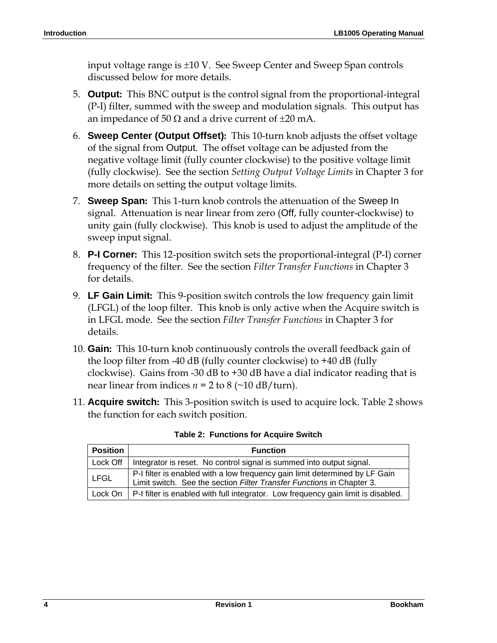input voltage range is ±10 V. See Sweep Center and Sweep Span controls discussed below for more details.

- 5. **Output:** This BNC output is the control signal from the proportional-integral (P-I) filter, summed with the sweep and modulation signals. This output has an impedance of 50  $\Omega$  and a drive current of  $\pm 20$  mA.
- 6. **Sweep Center (Output Offset):** This 10-turn knob adjusts the offset voltage of the signal from Output. The offset voltage can be adjusted from the negative voltage limit (fully counter clockwise) to the positive voltage limit (fully clockwise). See the section *Setting Output Voltage Limits* in Chapter 3 for more details on setting the output voltage limits.
- 7. **Sweep Span:** This 1-turn knob controls the attenuation of the Sweep In signal. Attenuation is near linear from zero (Off, fully counter-clockwise) to unity gain (fully clockwise). This knob is used to adjust the amplitude of the sweep input signal.
- 8. **P-I Corner:** This 12-position switch sets the proportional-integral (P-I) corner frequency of the filter. See the section *Filter Transfer Functions* in Chapter 3 for details.
- 9. **LF Gain Limit:** This 9-position switch controls the low frequency gain limit (LFGL) of the loop filter. This knob is only active when the Acquire switch is in LFGL mode. See the section *Filter Transfer Functions* in Chapter 3 for details.
- 10. **Gain:** This 10-turn knob continuously controls the overall feedback gain of the loop filter from -40 dB (fully counter clockwise) to +40 dB (fully clockwise). Gains from -30 dB to +30 dB have a dial indicator reading that is near linear from indices  $n = 2$  to  $8$  (~10 dB/turn).
- 11. **Acquire switch:** This 3-position switch is used to acquire lock. Table 2 shows the function for each switch position.

| <b>Position</b> | <b>Function</b>                                                                                                                                      |
|-----------------|------------------------------------------------------------------------------------------------------------------------------------------------------|
| Lock Off        | Integrator is reset. No control signal is summed into output signal.                                                                                 |
| <b>LFGL</b>     | P-I filter is enabled with a low frequency gain limit determined by LF Gain<br>Limit switch. See the section Filter Transfer Functions in Chapter 3. |
|                 | Lock On $\vert$ P-I filter is enabled with full integrator. Low frequency gain limit is disabled.                                                    |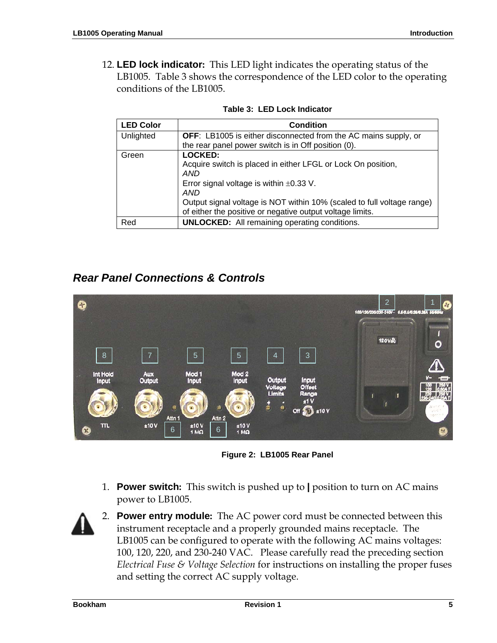12. **LED lock indicator:** This LED light indicates the operating status of the LB1005. Table 3 shows the correspondence of the LED color to the operating conditions of the LB1005.

| <b>LED Color</b> | <b>Condition</b>                                                       |
|------------------|------------------------------------------------------------------------|
| Unlighted        | <b>OFF:</b> LB1005 is either disconnected from the AC mains supply, or |
|                  | the rear panel power switch is in Off position (0).                    |
| Green            | <b>LOCKED:</b>                                                         |
|                  | Acquire switch is placed in either LFGL or Lock On position,           |
|                  | AND                                                                    |
|                  | Error signal voltage is within $\pm 0.33$ V.                           |
|                  | AND                                                                    |
|                  | Output signal voltage is NOT within 10% (scaled to full voltage range) |
|                  | of either the positive or negative output voltage limits.              |
| Red              | <b>UNLOCKED:</b> All remaining operating conditions.                   |

#### *Rear Panel Connections & Controls*



**Figure 2: LB1005 Rear Panel** 

1. **Power switch:** This switch is pushed up to **|** position to turn on AC mains power to LB1005.



2. **Power entry module:** The AC power cord must be connected between this instrument receptacle and a properly grounded mains receptacle. The LB1005 can be configured to operate with the following AC mains voltages: 100, 120, 220, and 230-240 VAC. Please carefully read the preceding section *Electrical Fuse & Voltage Selection* for instructions on installing the proper fuses and setting the correct AC supply voltage.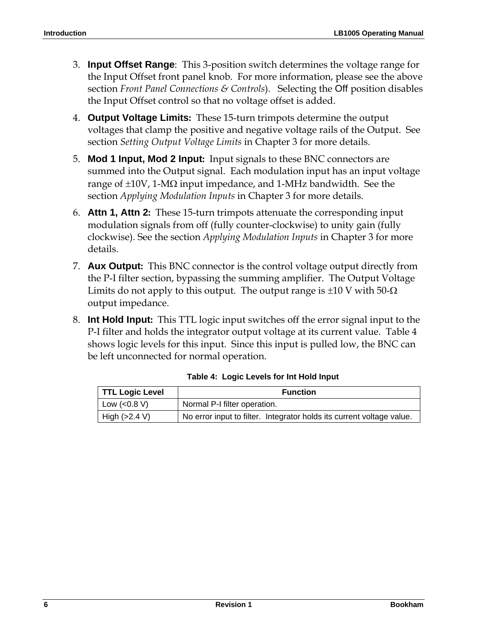- 3. **Input Offset Range**: This 3-position switch determines the voltage range for the Input Offset front panel knob. For more information, please see the above section *Front Panel Connections & Controls*). Selecting the Off position disables the Input Offset control so that no voltage offset is added.
- 4. **Output Voltage Limits:** These 15-turn trimpots determine the output voltages that clamp the positive and negative voltage rails of the Output. See section *Setting Output Voltage Limits* in Chapter 3 for more details.
- 5. **Mod 1 Input, Mod 2 Input:** Input signals to these BNC connectors are summed into the Output signal. Each modulation input has an input voltage range of  $\pm 10V$ , 1-M $\Omega$  input impedance, and 1-MHz bandwidth. See the section *Applying Modulation Inputs* in Chapter 3 for more details.
- 6. **Attn 1, Attn 2:** These 15-turn trimpots attenuate the corresponding input modulation signals from off (fully counter-clockwise) to unity gain (fully clockwise). See the section *Applying Modulation Inputs* in Chapter 3 for more details.
- 7. **Aux Output:** This BNC connector is the control voltage output directly from the P-I filter section, bypassing the summing amplifier. The Output Voltage Limits do not apply to this output. The output range is  $\pm 10$  V with 50- $\Omega$ output impedance.
- 8. **Int Hold Input:** This TTL logic input switches off the error signal input to the P-I filter and holds the integrator output voltage at its current value. Table 4 shows logic levels for this input. Since this input is pulled low, the BNC can be left unconnected for normal operation.

| <b>TTL Logic Level</b> | <b>Function</b>                                                       |  |  |
|------------------------|-----------------------------------------------------------------------|--|--|
| Low $(<0.8 V)$         | Normal P-I filter operation.                                          |  |  |
| High $(>2.4 V)$        | No error input to filter. Integrator holds its current voltage value. |  |  |

**Table 4: Logic Levels for Int Hold Input**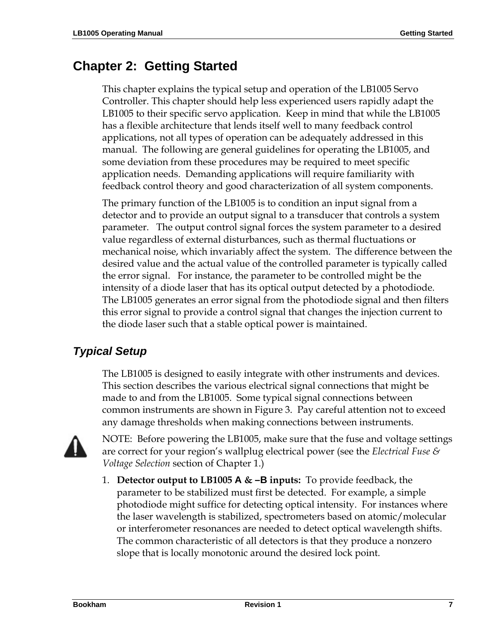# **Chapter 2: Getting Started**

This chapter explains the typical setup and operation of the LB1005 Servo Controller. This chapter should help less experienced users rapidly adapt the LB1005 to their specific servo application. Keep in mind that while the LB1005 has a flexible architecture that lends itself well to many feedback control applications, not all types of operation can be adequately addressed in this manual. The following are general guidelines for operating the LB1005, and some deviation from these procedures may be required to meet specific application needs. Demanding applications will require familiarity with feedback control theory and good characterization of all system components.

The primary function of the LB1005 is to condition an input signal from a detector and to provide an output signal to a transducer that controls a system parameter. The output control signal forces the system parameter to a desired value regardless of external disturbances, such as thermal fluctuations or mechanical noise, which invariably affect the system. The difference between the desired value and the actual value of the controlled parameter is typically called the error signal. For instance, the parameter to be controlled might be the intensity of a diode laser that has its optical output detected by a photodiode. The LB1005 generates an error signal from the photodiode signal and then filters this error signal to provide a control signal that changes the injection current to the diode laser such that a stable optical power is maintained.

#### *Typical Setup*

The LB1005 is designed to easily integrate with other instruments and devices. This section describes the various electrical signal connections that might be made to and from the LB1005. Some typical signal connections between common instruments are shown in Figure 3. Pay careful attention not to exceed any damage thresholds when making connections between instruments.



NOTE: Before powering the LB1005, make sure that the fuse and voltage settings are correct for your region's wallplug electrical power (see the *Electrical Fuse & Voltage Selection* section of Chapter 1.)

1. **Detector output to LB1005 A & –B inputs:** To provide feedback, the parameter to be stabilized must first be detected. For example, a simple photodiode might suffice for detecting optical intensity. For instances where the laser wavelength is stabilized, spectrometers based on atomic/molecular or interferometer resonances are needed to detect optical wavelength shifts. The common characteristic of all detectors is that they produce a nonzero slope that is locally monotonic around the desired lock point.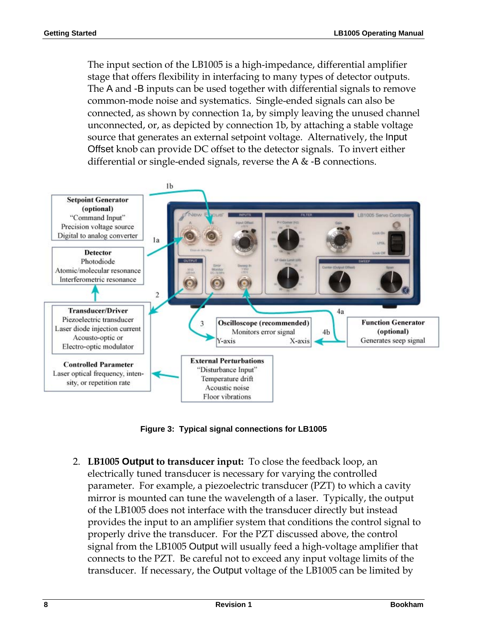The input section of the LB1005 is a high-impedance, differential amplifier stage that offers flexibility in interfacing to many types of detector outputs. The A and -B inputs can be used together with differential signals to remove common-mode noise and systematics. Single-ended signals can also be connected, as shown by connection 1a, by simply leaving the unused channel unconnected, or, as depicted by connection 1b, by attaching a stable voltage source that generates an external setpoint voltage. Alternatively, the Input Offset knob can provide DC offset to the detector signals. To invert either differential or single-ended signals, reverse the A & -B connections.



**Figure 3: Typical signal connections for LB1005** 

2. **LB1005 Output to transducer input:** To close the feedback loop, an electrically tuned transducer is necessary for varying the controlled parameter. For example, a piezoelectric transducer (PZT) to which a cavity mirror is mounted can tune the wavelength of a laser. Typically, the output of the LB1005 does not interface with the transducer directly but instead provides the input to an amplifier system that conditions the control signal to properly drive the transducer. For the PZT discussed above, the control signal from the LB1005 Output will usually feed a high-voltage amplifier that connects to the PZT. Be careful not to exceed any input voltage limits of the transducer. If necessary, the Output voltage of the LB1005 can be limited by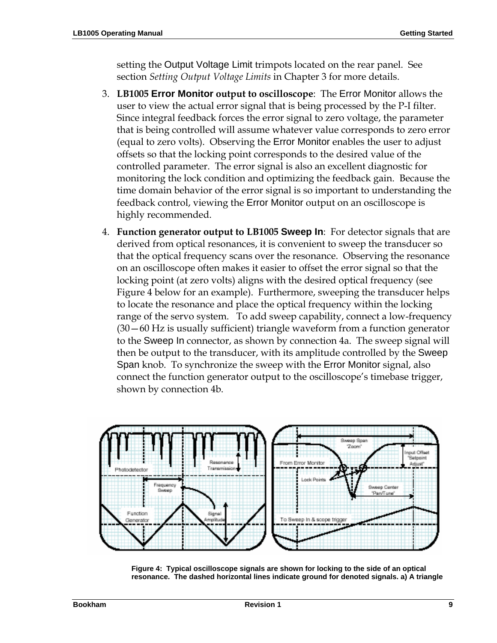setting the Output Voltage Limit trimpots located on the rear panel. See section *Setting Output Voltage Limits* in Chapter 3 for more details.

- 3. **LB1005 Error Monitor output to oscilloscope**: The Error Monitor allows the user to view the actual error signal that is being processed by the P-I filter. Since integral feedback forces the error signal to zero voltage, the parameter that is being controlled will assume whatever value corresponds to zero error (equal to zero volts). Observing the Error Monitor enables the user to adjust offsets so that the locking point corresponds to the desired value of the controlled parameter. The error signal is also an excellent diagnostic for monitoring the lock condition and optimizing the feedback gain. Because the time domain behavior of the error signal is so important to understanding the feedback control, viewing the Error Monitor output on an oscilloscope is highly recommended.
- 4. **Function generator output to LB1005 Sweep In**: For detector signals that are derived from optical resonances, it is convenient to sweep the transducer so that the optical frequency scans over the resonance. Observing the resonance on an oscilloscope often makes it easier to offset the error signal so that the locking point (at zero volts) aligns with the desired optical frequency (see Figure 4 below for an example). Furthermore, sweeping the transducer helps to locate the resonance and place the optical frequency within the locking range of the servo system. To add sweep capability, connect a low-frequency (30—60 Hz is usually sufficient) triangle waveform from a function generator to the Sweep In connector, as shown by connection 4a. The sweep signal will then be output to the transducer, with its amplitude controlled by the Sweep Span knob. To synchronize the sweep with the Error Monitor signal, also connect the function generator output to the oscilloscope's timebase trigger, shown by connection 4b.



**Figure 4: Typical oscilloscope signals are shown for locking to the side of an optical resonance. The dashed horizontal lines indicate ground for denoted signals. a) A triangle**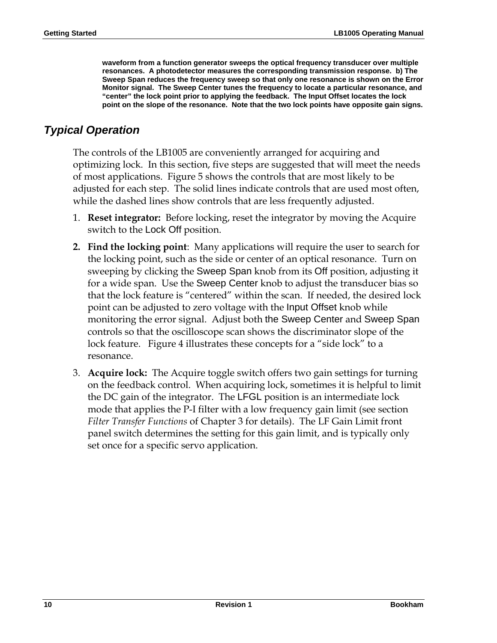**waveform from a function generator sweeps the optical frequency transducer over multiple resonances. A photodetector measures the corresponding transmission response. b) The Sweep Span reduces the frequency sweep so that only one resonance is shown on the Error Monitor signal. The Sweep Center tunes the frequency to locate a particular resonance, and "center" the lock point prior to applying the feedback. The Input Offset locates the lock point on the slope of the resonance. Note that the two lock points have opposite gain signs.** 

#### *Typical Operation*

The controls of the LB1005 are conveniently arranged for acquiring and optimizing lock. In this section, five steps are suggested that will meet the needs of most applications. Figure 5 shows the controls that are most likely to be adjusted for each step. The solid lines indicate controls that are used most often, while the dashed lines show controls that are less frequently adjusted.

- 1. **Reset integrator:** Before locking, reset the integrator by moving the Acquire switch to the Lock Off position.
- **2. Find the locking point**: Many applications will require the user to search for the locking point, such as the side or center of an optical resonance. Turn on sweeping by clicking the Sweep Span knob from its Off position, adjusting it for a wide span. Use the Sweep Center knob to adjust the transducer bias so that the lock feature is "centered" within the scan. If needed, the desired lock point can be adjusted to zero voltage with the Input Offset knob while monitoring the error signal. Adjust both the Sweep Center and Sweep Span controls so that the oscilloscope scan shows the discriminator slope of the lock feature. Figure 4 illustrates these concepts for a "side lock" to a resonance.
- 3. **Acquire lock:** The Acquire toggle switch offers two gain settings for turning on the feedback control. When acquiring lock, sometimes it is helpful to limit the DC gain of the integrator. The LFGL position is an intermediate lock mode that applies the P-I filter with a low frequency gain limit (see section *Filter Transfer Functions* of Chapter 3 for details). The LF Gain Limit front panel switch determines the setting for this gain limit, and is typically only set once for a specific servo application.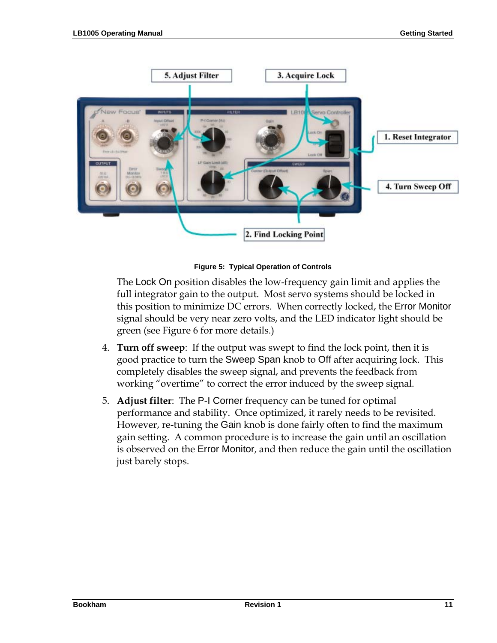

**Figure 5: Typical Operation of Controls** 

The Lock On position disables the low-frequency gain limit and applies the full integrator gain to the output. Most servo systems should be locked in this position to minimize DC errors. When correctly locked, the Error Monitor signal should be very near zero volts, and the LED indicator light should be green (see Figure 6 for more details.)

- 4. **Turn off sweep**: If the output was swept to find the lock point, then it is good practice to turn the Sweep Span knob to Off after acquiring lock. This completely disables the sweep signal, and prevents the feedback from working "overtime" to correct the error induced by the sweep signal.
- 5. **Adjust filter**: The P-I Corner frequency can be tuned for optimal performance and stability. Once optimized, it rarely needs to be revisited. However, re-tuning the Gain knob is done fairly often to find the maximum gain setting. A common procedure is to increase the gain until an oscillation is observed on the Error Monitor, and then reduce the gain until the oscillation just barely stops.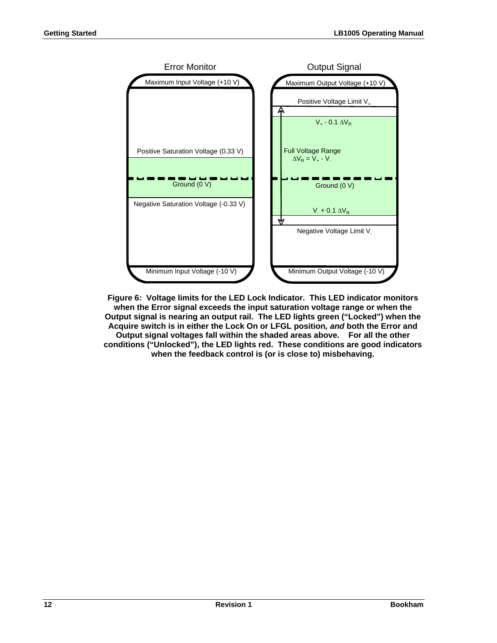

**Figure 6: Voltage limits for the LED Lock Indicator. This LED indicator monitors when the Error signal exceeds the input saturation voltage range or when the Output signal is nearing an output rail. The LED lights green ("Locked") when the Acquire switch is in either the Lock On or LFGL position***, and* **both the Error and Output signal voltages fall within the shaded areas above. For all the other conditions ("Unlocked"), the LED lights red. These conditions are good indicators when the feedback control is (or is close to) misbehaving.**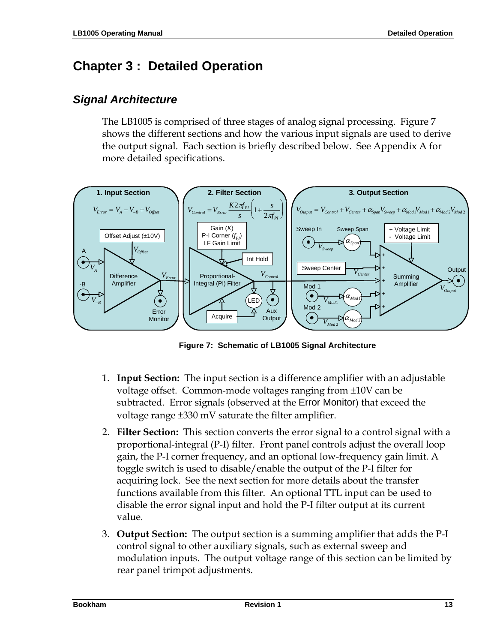# **Chapter 3 : Detailed Operation**

#### *Signal Architecture*

The LB1005 is comprised of three stages of analog signal processing. Figure 7 shows the different sections and how the various input signals are used to derive the output signal. Each section is briefly described below. See Appendix A for more detailed specifications.



**Figure 7: Schematic of LB1005 Signal Architecture** 

- 1. **Input Section:** The input section is a difference amplifier with an adjustable voltage offset. Common-mode voltages ranging from ±10V can be subtracted. Error signals (observed at the Error Monitor) that exceed the voltage range ±330 mV saturate the filter amplifier.
- 2. **Filter Section:** This section converts the error signal to a control signal with a proportional-integral (P-I) filter. Front panel controls adjust the overall loop gain, the P-I corner frequency, and an optional low-frequency gain limit. A toggle switch is used to disable/enable the output of the P-I filter for acquiring lock. See the next section for more details about the transfer functions available from this filter. An optional TTL input can be used to disable the error signal input and hold the P-I filter output at its current value.
- 3. **Output Section:** The output section is a summing amplifier that adds the P-I control signal to other auxiliary signals, such as external sweep and modulation inputs. The output voltage range of this section can be limited by rear panel trimpot adjustments.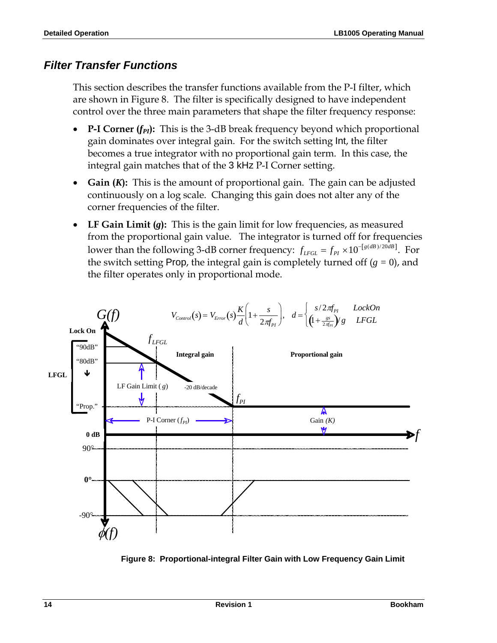#### *Filter Transfer Functions*

This section describes the transfer functions available from the P-I filter, which are shown in Figure 8. The filter is specifically designed to have independent control over the three main parameters that shape the filter frequency response:

- **P-I Corner**  $(f_{PI})$ **:** This is the 3-dB break frequency beyond which proportional gain dominates over integral gain. For the switch setting Int, the filter becomes a true integrator with no proportional gain term. In this case, the integral gain matches that of the 3 kHz P-I Corner setting.
- **Gain (***K***):** This is the amount of proportional gain. The gain can be adjusted continuously on a log scale. Changing this gain does not alter any of the corner frequencies of the filter.
- **LF Gain Limit (***g***):** This is the gain limit for low frequencies, as measured from the proportional gain value. The integrator is turned off for frequencies lower than the following 3-dB corner frequency:  $f_{LFGL} = f_{PI} \times 10^{-[g(dB)/20dB]}$ . For the switch setting Prop, the integral gain is completely turned off (*g =* 0), and the filter operates only in proportional mode.



**Figure 8: Proportional-integral Filter Gain with Low Frequency Gain Limit**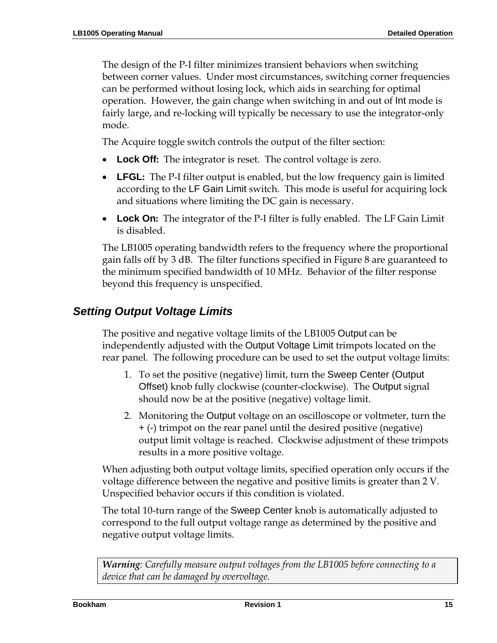The design of the P-I filter minimizes transient behaviors when switching between corner values. Under most circumstances, switching corner frequencies can be performed without losing lock, which aids in searching for optimal operation. However, the gain change when switching in and out of Int mode is fairly large, and re-locking will typically be necessary to use the integrator-only mode.

The Acquire toggle switch controls the output of the filter section:

- **Lock Off:** The integrator is reset. The control voltage is zero.
- **LFGL:** The P-I filter output is enabled, but the low frequency gain is limited according to the LF Gain Limit switch. This mode is useful for acquiring lock and situations where limiting the DC gain is necessary.
- **Lock On:** The integrator of the P-I filter is fully enabled. The LF Gain Limit is disabled.

The LB1005 operating bandwidth refers to the frequency where the proportional gain falls off by 3 dB. The filter functions specified in Figure 8 are guaranteed to the minimum specified bandwidth of 10 MHz. Behavior of the filter response beyond this frequency is unspecified.

#### *Setting Output Voltage Limits*

The positive and negative voltage limits of the LB1005 Output can be independently adjusted with the Output Voltage Limit trimpots located on the rear panel. The following procedure can be used to set the output voltage limits:

- 1. To set the positive (negative) limit, turn the Sweep Center (Output Offset) knob fully clockwise (counter-clockwise). The Output signal should now be at the positive (negative) voltage limit.
- 2. Monitoring the Output voltage on an oscilloscope or voltmeter, turn the + (-) trimpot on the rear panel until the desired positive (negative) output limit voltage is reached. Clockwise adjustment of these trimpots results in a more positive voltage.

When adjusting both output voltage limits, specified operation only occurs if the voltage difference between the negative and positive limits is greater than 2 V. Unspecified behavior occurs if this condition is violated.

The total 10-turn range of the Sweep Center knob is automatically adjusted to correspond to the full output voltage range as determined by the positive and negative output voltage limits.

*Warning: Carefully measure output voltages from the LB1005 before connecting to a device that can be damaged by overvoltage.*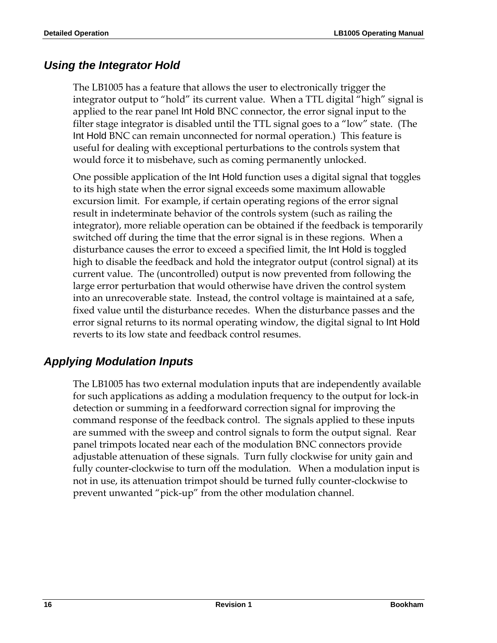#### *Using the Integrator Hold*

The LB1005 has a feature that allows the user to electronically trigger the integrator output to "hold" its current value. When a TTL digital "high" signal is applied to the rear panel Int Hold BNC connector, the error signal input to the filter stage integrator is disabled until the TTL signal goes to a "low" state. (The Int Hold BNC can remain unconnected for normal operation.) This feature is useful for dealing with exceptional perturbations to the controls system that would force it to misbehave, such as coming permanently unlocked.

One possible application of the Int Hold function uses a digital signal that toggles to its high state when the error signal exceeds some maximum allowable excursion limit. For example, if certain operating regions of the error signal result in indeterminate behavior of the controls system (such as railing the integrator), more reliable operation can be obtained if the feedback is temporarily switched off during the time that the error signal is in these regions. When a disturbance causes the error to exceed a specified limit, the Int Hold is toggled high to disable the feedback and hold the integrator output (control signal) at its current value. The (uncontrolled) output is now prevented from following the large error perturbation that would otherwise have driven the control system into an unrecoverable state. Instead, the control voltage is maintained at a safe, fixed value until the disturbance recedes. When the disturbance passes and the error signal returns to its normal operating window, the digital signal to Int Hold reverts to its low state and feedback control resumes.

#### *Applying Modulation Inputs*

The LB1005 has two external modulation inputs that are independently available for such applications as adding a modulation frequency to the output for lock-in detection or summing in a feedforward correction signal for improving the command response of the feedback control. The signals applied to these inputs are summed with the sweep and control signals to form the output signal. Rear panel trimpots located near each of the modulation BNC connectors provide adjustable attenuation of these signals. Turn fully clockwise for unity gain and fully counter-clockwise to turn off the modulation. When a modulation input is not in use, its attenuation trimpot should be turned fully counter-clockwise to prevent unwanted "pick-up" from the other modulation channel.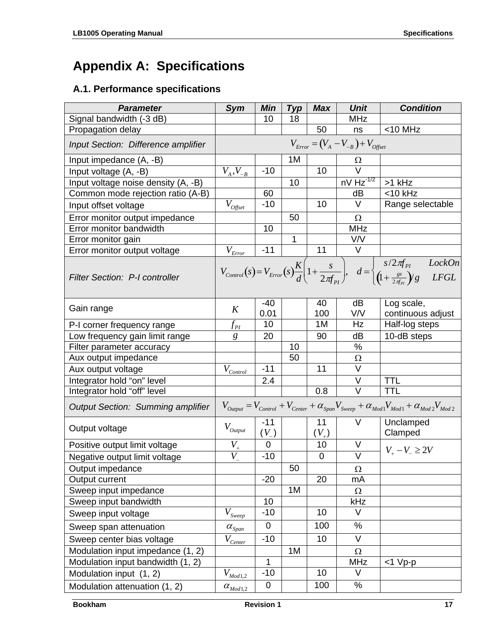# **Appendix A: Specifications**

#### **A.1. Performance specifications**

| <b>Parameter</b>                                            | <b>Sym</b>                                                                                                          | Min                | <b>Typ</b> | <b>Max</b>      | <b>Unit</b>       | <b>Condition</b>                                                                                                                                                                                  |
|-------------------------------------------------------------|---------------------------------------------------------------------------------------------------------------------|--------------------|------------|-----------------|-------------------|---------------------------------------------------------------------------------------------------------------------------------------------------------------------------------------------------|
| Signal bandwidth (-3 dB)                                    |                                                                                                                     | 10                 | 18         |                 | <b>MHz</b>        |                                                                                                                                                                                                   |
| Propagation delay                                           |                                                                                                                     |                    |            | 50              | ns                | $<$ 10 MHz                                                                                                                                                                                        |
| Input Section: Difference amplifier                         | $V_{Error} = (V_A - V_{-B}) + V_{offset}$                                                                           |                    |            |                 |                   |                                                                                                                                                                                                   |
| Input impedance (A, -B)                                     |                                                                                                                     |                    | 1M         |                 | Ω                 |                                                                                                                                                                                                   |
| Input voltage (A, -B)                                       | $V_A, V_{-B}$                                                                                                       | $-10$              |            | 10              | V                 |                                                                                                                                                                                                   |
| Input voltage noise density (A, -B)                         |                                                                                                                     |                    | 10         |                 | $nV Hz^{-1/2}$    | >1 kHz                                                                                                                                                                                            |
| Common mode rejection ratio (A-B)                           |                                                                                                                     | 60                 |            |                 | dB                | $<$ 10 kHz                                                                                                                                                                                        |
| Input offset voltage                                        | $\overline{V}_{\textit{Offset}}$                                                                                    | $-10$              |            | 10              | V                 | Range selectable                                                                                                                                                                                  |
| Error monitor output impedance                              |                                                                                                                     |                    | 50         |                 | Ω                 |                                                                                                                                                                                                   |
| Error monitor bandwidth                                     |                                                                                                                     | 10                 |            |                 | <b>MHz</b>        |                                                                                                                                                                                                   |
| Error monitor gain                                          |                                                                                                                     |                    | 1          |                 | V/V               |                                                                                                                                                                                                   |
| Error monitor output voltage                                | $\bar{V}_{\underline{Error}}$                                                                                       | $-11$              |            | 11              | V                 |                                                                                                                                                                                                   |
| <b>Filter Section: P-I controller</b>                       |                                                                                                                     |                    |            |                 |                   | $V_{Control}(s) = V_{Error}(s) \frac{K}{d} \left(1 + \frac{s}{2\pi f_{av}}\right), \quad d = \begin{cases} s/2\pi f_{Pl} & LockOn \\ \left(1 + \frac{gs}{2\pi f_{av}}\right)g & LFGL \end{cases}$ |
| Gain range                                                  | K                                                                                                                   | $-40$<br>0.01      |            | 40              | dB<br>V/V         | Log scale,                                                                                                                                                                                        |
|                                                             |                                                                                                                     | 10                 |            | 100<br>1M       | Hz                | continuous adjust<br>Half-log steps                                                                                                                                                               |
| P-I corner frequency range                                  | $f_{\scriptscriptstyle{PI}}$                                                                                        |                    |            | 90              | dB                |                                                                                                                                                                                                   |
| Low frequency gain limit range<br>Filter parameter accuracy | g                                                                                                                   | 20                 | 10         |                 | %                 | 10-dB steps                                                                                                                                                                                       |
| Aux output impedance                                        |                                                                                                                     |                    | 50         |                 | Ω                 |                                                                                                                                                                                                   |
| Aux output voltage                                          | $V_{\underline{\textit{Control}}}$                                                                                  | $-11$              |            | 11              | $\vee$            |                                                                                                                                                                                                   |
| Integrator hold "on" level                                  |                                                                                                                     | 2.4                |            |                 | V                 | <b>TTL</b>                                                                                                                                                                                        |
| Integrator hold "off" level                                 |                                                                                                                     |                    |            | 0.8             | $\vee$            | <b>TTL</b>                                                                                                                                                                                        |
| <b>Output Section: Summing amplifier</b>                    | $V_{Output} = V_{Control} + V_{Center} + \alpha_{Span} V_{Sweep} + \alpha_{Mod1} V_{Mod1} + \alpha_{Mod2} V_{Mod2}$ |                    |            |                 |                   |                                                                                                                                                                                                   |
| Output voltage                                              | $V_{Output}$                                                                                                        | $-11$<br>$(V_{-})$ |            | 11<br>$(V_{+})$ | V                 | Unclamped<br>Clamped                                                                                                                                                                              |
| Positive output limit voltage                               | $V_{_+}$                                                                                                            | $\mathbf 0$        |            | 10              | V                 |                                                                                                                                                                                                   |
| Negative output limit voltage                               | $V_{-}$                                                                                                             | $-10$              |            | $\mathbf 0$     | $\overline{\vee}$ | $V_{+} - V_{-} \geq 2V$                                                                                                                                                                           |
| Output impedance                                            |                                                                                                                     |                    | 50         |                 | Ω                 |                                                                                                                                                                                                   |
| Output current                                              |                                                                                                                     | $-20$              |            | 20              | mA                |                                                                                                                                                                                                   |
| Sweep input impedance                                       |                                                                                                                     |                    | 1M         |                 | $\Omega$          |                                                                                                                                                                                                   |
| Sweep input bandwidth                                       |                                                                                                                     | 10                 |            |                 | kHz               |                                                                                                                                                                                                   |
| Sweep input voltage                                         | $\overline{V}_{\textit{Sweep}}$                                                                                     | $-10$              |            | 10              | V                 |                                                                                                                                                                                                   |
| Sweep span attenuation                                      | $\alpha_{\text{Span}}$                                                                                              | 0                  |            | 100             | $\%$              |                                                                                                                                                                                                   |
| Sweep center bias voltage                                   | $\overline{V_{\underline{Center}}}$                                                                                 | $-10$              |            | 10              | $\vee$            |                                                                                                                                                                                                   |
| Modulation input impedance (1, 2)                           |                                                                                                                     |                    | 1M         |                 | $\Omega$          |                                                                                                                                                                                                   |
| Modulation input bandwidth (1, 2)                           | 1<br><b>MHz</b><br>$<$ 1 Vp-p                                                                                       |                    |            |                 |                   |                                                                                                                                                                                                   |
| Modulation input (1, 2)                                     | $\overline{V}_{\underline{\textit{Mod1},2}}$                                                                        | $-10$              |            | 10              | V                 |                                                                                                                                                                                                   |
| Modulation attenuation (1, 2)                               | $\alpha_{\textit{Mod1},2}$                                                                                          | $\mathbf 0$        |            | 100             | $\%$              |                                                                                                                                                                                                   |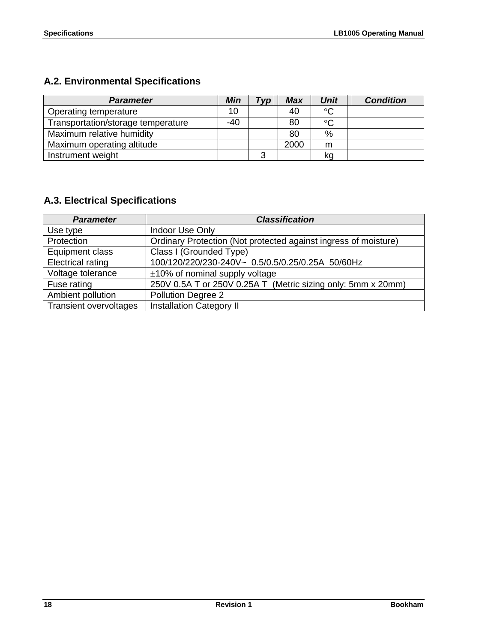### **A.2. Environmental Specifications**

| <b>Parameter</b>                   | <b>Min</b> | $T_V p$ | <b>Max</b> | <b>Unit</b>     | <b>Condition</b> |
|------------------------------------|------------|---------|------------|-----------------|------------------|
| Operating temperature              | 10         |         | 40         | $\rm ^{\circ}C$ |                  |
| Transportation/storage temperature | -40        |         | 80         | $\rm ^{\circ}C$ |                  |
| Maximum relative humidity          |            |         | 80         | $\%$            |                  |
| Maximum operating altitude         |            |         | 2000       | m               |                  |
| Instrument weight                  |            |         |            | kq              |                  |

#### **A.3. Electrical Specifications**

| <b>Parameter</b>              | <b>Classification</b>                                           |
|-------------------------------|-----------------------------------------------------------------|
| Use type                      | Indoor Use Only                                                 |
| Protection                    | Ordinary Protection (Not protected against ingress of moisture) |
| Equipment class               | Class I (Grounded Type)                                         |
| <b>Electrical rating</b>      | 100/120/220/230-240V~ 0.5/0.5/0.25/0.25A 50/60Hz                |
| Voltage tolerance             | $\pm$ 10% of nominal supply voltage                             |
| Fuse rating                   | 250V 0.5A T or 250V 0.25A T (Metric sizing only: 5mm x 20mm)    |
| Ambient pollution             | Pollution Degree 2                                              |
| <b>Transient overvoltages</b> | <b>Installation Category II</b>                                 |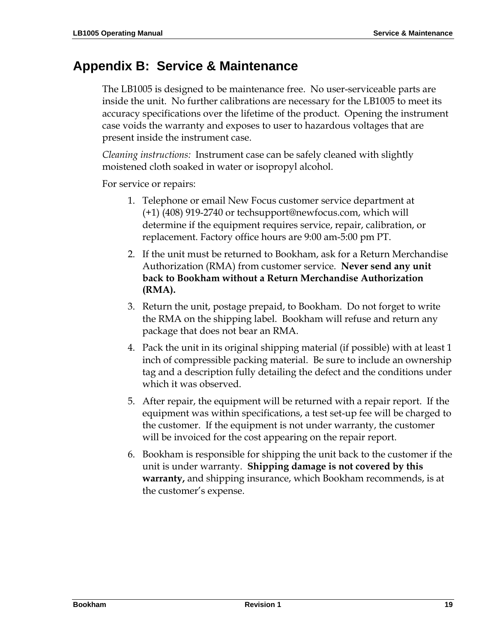# **Appendix B: Service & Maintenance**

The LB1005 is designed to be maintenance free. No user-serviceable parts are inside the unit. No further calibrations are necessary for the LB1005 to meet its accuracy specifications over the lifetime of the product. Opening the instrument case voids the warranty and exposes to user to hazardous voltages that are present inside the instrument case.

*Cleaning instructions:* Instrument case can be safely cleaned with slightly moistened cloth soaked in water or isopropyl alcohol.

For service or repairs:

- 1. Telephone or email New Focus customer service department at (+1) (408) 919-2740 or techsupport@newfocus.com, which will determine if the equipment requires service, repair, calibration, or replacement. Factory office hours are 9:00 am-5:00 pm PT.
- 2. If the unit must be returned to Bookham, ask for a Return Merchandise Authorization (RMA) from customer service. **Never send any unit back to Bookham without a Return Merchandise Authorization (RMA).**
- 3. Return the unit, postage prepaid, to Bookham. Do not forget to write the RMA on the shipping label. Bookham will refuse and return any package that does not bear an RMA.
- 4. Pack the unit in its original shipping material (if possible) with at least 1 inch of compressible packing material. Be sure to include an ownership tag and a description fully detailing the defect and the conditions under which it was observed.
- 5. After repair, the equipment will be returned with a repair report. If the equipment was within specifications, a test set-up fee will be charged to the customer. If the equipment is not under warranty, the customer will be invoiced for the cost appearing on the repair report.
- 6. Bookham is responsible for shipping the unit back to the customer if the unit is under warranty. **Shipping damage is not covered by this warranty,** and shipping insurance, which Bookham recommends, is at the customer's expense.